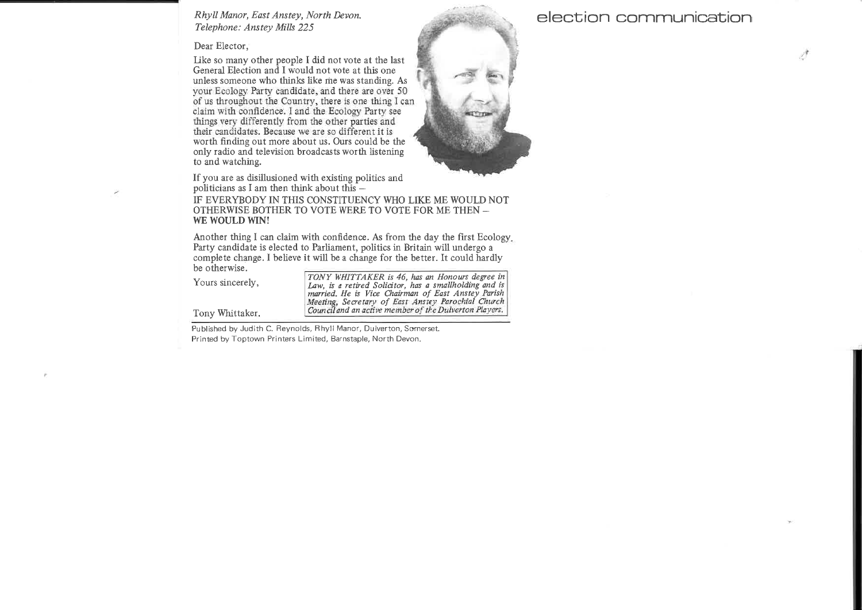Rhyll Manor, East Anstey, North Devon.<br>gr. 1 Telephone: Anstey Mills <sup>225</sup>5 and 200 minutes and 200 minutes and 200 minutes and 200 minutes and 200 minutes and 200 minutes and 200 minutes and 200 minutes and 200 minutes and 200 minutes and 200 minutes and 200 minutes and 200 minutes and 200 minu

Dear Elector,

Like so many other people <sup>I</sup> did not vote at the last General Election and <sup>I</sup> would not vote at this one unless someone who thinks like me was standing. As your Ecology Party candidate, and there are over <sup>50</sup> of us throughout the Country, there is one thing I can claim with confidence. <sup>I</sup> and the Ecology Party see things very differently from the other parties and<br>their candidates. Because we are so different it is their candidates. Eccause we are so different it is worth finding out more about us. Ours could be the only radio and television broadcasts worth listening to and watching.



'-'. 1: I?

 - - ..

If you are as disillusioned with existing politics andpoliticians as <sup>I</sup> am

## politicians as I am then think about this —<br>IF EVERYBODY IN THIS CONSTITUENCY WHO LIKE ME WOULD NOT<br>OTHERWISE BOTHER TO VOTE WERE TO VOTE EOR ME THEN OTHERWISE BOTHER TO VOTE WERE TO VOTE FOR ME THEN –<br>we woll d win! WE WOULD WIN!

Another thing I can claim with confidence. As from the day the first Ecology.<br>Party condidate is algoted to Parliament, politics in Pritcip will undergo a Party candidate is elected to Parliament, politics in Britain will undergo <sup>a</sup> complete change. <sup>I</sup> believe it will be <sup>a</sup> change for the better. It could hardly be otherwise

Yours si

TONY WHITTAKER is 46, has an Honours degree in<br>incerely. Is sincerely,<br>
Law, is a retired Solicitor, has a smallholding and is<br>
married. He is Vice Chairman of East Anstey Parish<br>
Meeting, Secretary of East Anstey Parochial Church<br>
Vertilia Council and an active member of the Du

Tony Whittaker.

Published by Judith C. Reynolds, Rhyil Manor, Dulverton, Somerset. Printed by Toptown Printers Limited, Barnstaple, North Devon.

## election communication

 $\mathcal{L}^{\mathcal{R}}$